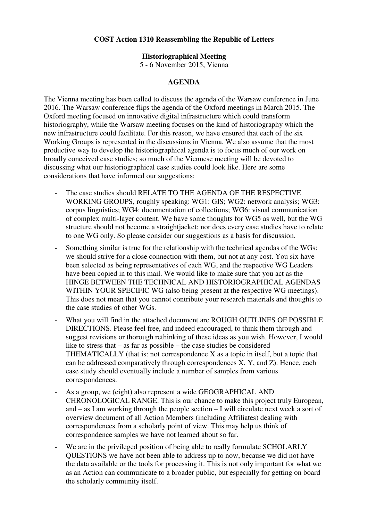### **COST Action 1310 Reassembling the Republic of Letters**

#### **Historiographical Meeting**

5 - 6 November 2015, Vienna

#### **AGENDA**

The Vienna meeting has been called to discuss the agenda of the Warsaw conference in June 2016. The Warsaw conference flips the agenda of the Oxford meetings in March 2015. The Oxford meeting focused on innovative digital infrastructure which could transform historiography, while the Warsaw meeting focuses on the kind of historiography which the new infrastructure could facilitate. For this reason, we have ensured that each of the six Working Groups is represented in the discussions in Vienna. We also assume that the most productive way to develop the historiographical agenda is to focus much of our work on broadly conceived case studies; so much of the Viennese meeting will be devoted to discussing what our historiographical case studies could look like. Here are some considerations that have informed our suggestions:

- The case studies should RELATE TO THE AGENDA OF THE RESPECTIVE WORKING GROUPS, roughly speaking: WG1: GIS; WG2: network analysis; WG3: corpus linguistics; WG4: documentation of collections; WG6: visual communication of complex multi-layer content. We have some thoughts for WG5 as well, but the WG structure should not become a straightjacket; nor does every case studies have to relate to one WG only. So please consider our suggestions as a basis for discussion.
- Something similar is true for the relationship with the technical agendas of the WGs: we should strive for a close connection with them, but not at any cost. You six have been selected as being representatives of each WG, and the respective WG Leaders have been copied in to this mail. We would like to make sure that you act as the HINGE BETWEEN THE TECHNICAL AND HISTORIOGRAPHICAL AGENDAS WITHIN YOUR SPECIFIC WG (also being present at the respective WG meetings). This does not mean that you cannot contribute your research materials and thoughts to the case studies of other WGs.
- What you will find in the attached document are ROUGH OUTLINES OF POSSIBLE DIRECTIONS. Please feel free, and indeed encouraged, to think them through and suggest revisions or thorough rethinking of these ideas as you wish. However, I would like to stress that – as far as possible – the case studies be considered THEMATICALLY (that is: not correspondence X as a topic in itself, but a topic that can be addressed comparatively through correspondences X, Y, and Z). Hence, each case study should eventually include a number of samples from various correspondences.
- As a group, we (eight) also represent a wide GEOGRAPHICAL AND CHRONOLOGICAL RANGE. This is our chance to make this project truly European, and – as I am working through the people section – I will circulate next week a sort of overview document of all Action Members (including Affiliates) dealing with correspondences from a scholarly point of view. This may help us think of correspondence samples we have not learned about so far.
- We are in the privileged position of being able to really formulate SCHOLARLY QUESTIONS we have not been able to address up to now, because we did not have the data available or the tools for processing it. This is not only important for what we as an Action can communicate to a broader public, but especially for getting on board the scholarly community itself.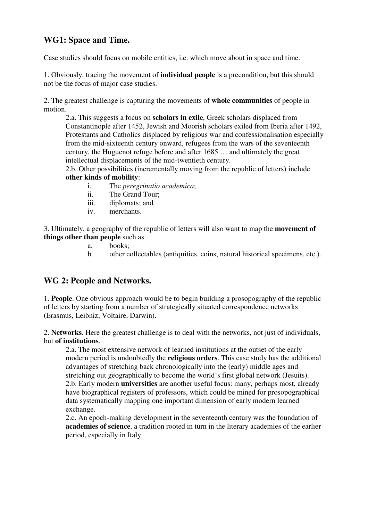# **WG1: Space and Time.**

Case studies should focus on mobile entities, i.e. which move about in space and time.

1. Obviously, tracing the movement of **individual people** is a precondition, but this should not be the focus of major case studies.

2. The greatest challenge is capturing the movements of **whole communities** of people in motion.

2.a. This suggests a focus on **scholars in exile**, Greek scholars displaced from Constantinople after 1452, Jewish and Moorish scholars exiled from Iberia after 1492, Protestants and Catholics displaced by religious war and confessionalisation especially from the mid-sixteenth century onward, refugees from the wars of the seventeenth century, the Huguenot refuge before and after 1685 … and ultimately the great intellectual displacements of the mid-twentieth century.

2.b. Other possibilities (incrementally moving from the republic of letters) include **other kinds of mobility**:

- i. The *peregrinatio academica*;
- ii. The Grand Tour;
- iii. diplomats; and
- iv. merchants.

3. Ultimately, a geography of the republic of letters will also want to map the **movement of things other than people** such as

- a. books;
- b. other collectables (antiquities, coins, natural historical specimens, etc.).

### **WG 2: People and Networks.**

1. **People**. One obvious approach would be to begin building a prosopography of the republic of letters by starting from a number of strategically situated correspondence networks (Erasmus, Leibniz, Voltaire, Darwin).

2. **Networks**. Here the greatest challenge is to deal with the networks, not just of individuals, but **of institutions**.

2.a. The most extensive network of learned institutions at the outset of the early modern period is undoubtedly the **religious orders**. This case study has the additional advantages of stretching back chronologically into the (early) middle ages and stretching out geographically to become the world's first global network (Jesuits). 2.b. Early modern **universities** are another useful focus: many, perhaps most, already have biographical registers of professors, which could be mined for prosopographical data systematically mapping one important dimension of early modern learned exchange.

2.c. An epoch-making development in the seventeenth century was the foundation of **academies of science**, a tradition rooted in turn in the literary academies of the earlier period, especially in Italy.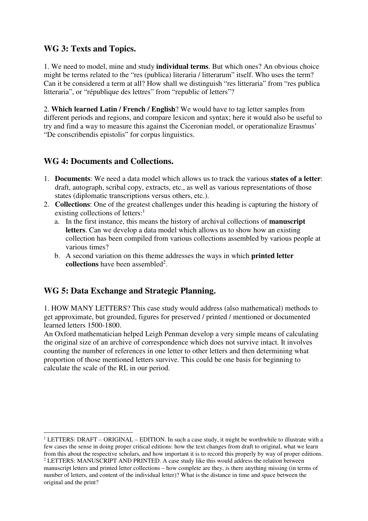## **WG 3: Texts and Topics.**

1. We need to model, mine and study **individual terms**. But which ones? An obvious choice might be terms related to the "res (publica) literaria / litterarum" itself. Who uses the term? Can it be considered a term at all? How shall we distinguish "res litteraria" from "res publica litteraria", or "république des lettres" from "republic of letters"?

2. **Which learned Latin / French / English**? We would have to tag letter samples from different periods and regions, and compare lexicon and syntax; here it would also be useful to try and find a way to measure this against the Ciceronian model, or operationalize Erasmus' "De conscribendis epistolis" for corpus linguistics.

# **WG 4: Documents and Collections.**

- 1. **Documents**: We need a data model which allows us to track the various **states of a letter**: draft, autograph, scribal copy, extracts, etc., as well as various representations of those states (diplomatic transcriptions versus others, etc.).
- 2. **Collections**: One of the greatest challenges under this heading is capturing the history of existing collections of letters: $<sup>1</sup>$ </sup>
	- a. In the first instance, this means the history of archival collections of **manuscript letters**. Can we develop a data model which allows us to show how an existing collection has been compiled from various collections assembled by various people at various times?
	- b. A second variation on this theme addresses the ways in which **printed letter collections** have been assembled<sup>2</sup>.

## **WG 5: Data Exchange and Strategic Planning.**

 $\overline{a}$ 

1. HOW MANY LETTERS? This case study would address (also mathematical) methods to get approximate, but grounded, figures for preserved / printed / mentioned or documented learned letters 1500-1800.

An Oxford mathematician helped Leigh Penman develop a very simple means of calculating the original size of an archive of correspondence which does not survive intact. It involves counting the number of references in one letter to other letters and then determining what proportion of those mentioned letters survive. This could be one basis for beginning to calculate the scale of the RL in our period.

<sup>&</sup>lt;sup>1</sup> LETTERS: DRAFT – ORIGINAL – EDITION. In such a case study, it might be worthwhile to illustrate with a few cases the sense in doing proper critical editions: how the text changes from draft to original, what we learn from this about the respective scholars, and how important it is to record this properly by way of proper editions. <sup>2</sup> LETTERS: MANUSCRIPT AND PRINTED. A case study like this would address the relation between manuscript letters and printed letter collections – how complete are they, is there anything missing (in terms of number of letters, and content of the individual letter)? What is the distance in time and space between the original and the print?